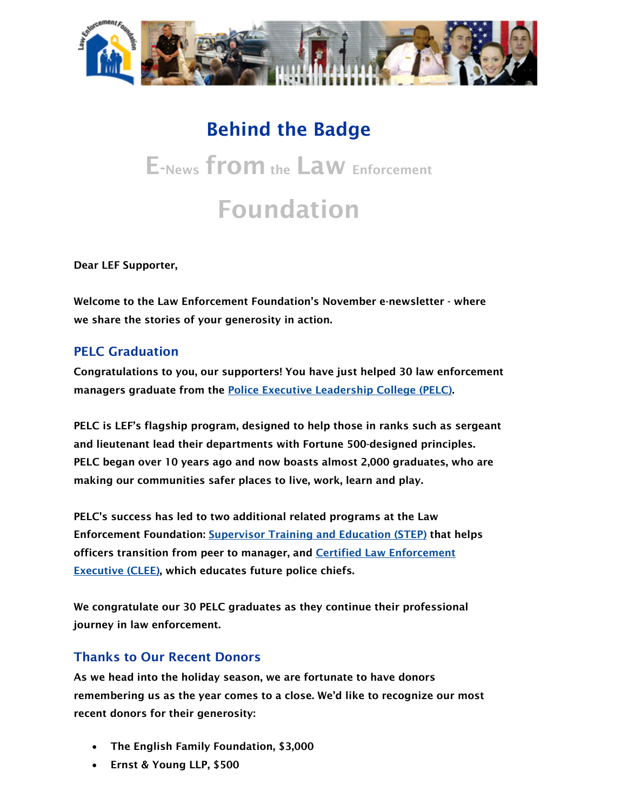

## Behind the Badge E-News from the Law Enforcement Foundation

Dear LEF Supporter,

Welcome to the Law Enforcement Foundation's November e-newsletter - where we share the stories of your generosity in action.

## PELC Graduation

Congratulations to you, our supporters! You have just helped 30 law enforcement managers graduate from the [Police Executive Leadership College \(PELC\).](http://vote4metroparks.us1.list-manage.com/track/click?u=55c80ada11d0a6c64310bc76a&id=b510256d77&e=366229f65c)

PELC is LEF's flagship program, designed to help those in ranks such as sergeant and lieutenant lead their departments with Fortune 500-designed principles. PELC began over 10 years ago and now boasts almost 2,000 graduates, who are making our communities safer places to live, work, learn and play.

PELC's success has led to two additional related programs at the Law Enforcement Foundation: [Supervisor Training and Education \(STEP\)](http://vote4metroparks.us1.list-manage.com/track/click?u=55c80ada11d0a6c64310bc76a&id=d2c7ba5398&e=366229f65c) that helps officers transition from peer to manager, and [Certified Law Enforcement](http://vote4metroparks.us1.list-manage.com/track/click?u=55c80ada11d0a6c64310bc76a&id=3c6e2a7eed&e=366229f65c)  [Executive \(CLEE\)](http://vote4metroparks.us1.list-manage.com/track/click?u=55c80ada11d0a6c64310bc76a&id=3c6e2a7eed&e=366229f65c), which educates future police chiefs.

We congratulate our 30 PELC graduates as they continue their professional journey in law enforcement.

## Thanks to Our Recent Donors

As we head into the holiday season, we are fortunate to have donors remembering us as the year comes to a close. We'd like to recognize our most recent donors for their generosity:

- The English Family Foundation, \$3,000
- Ernst & Young LLP, \$500